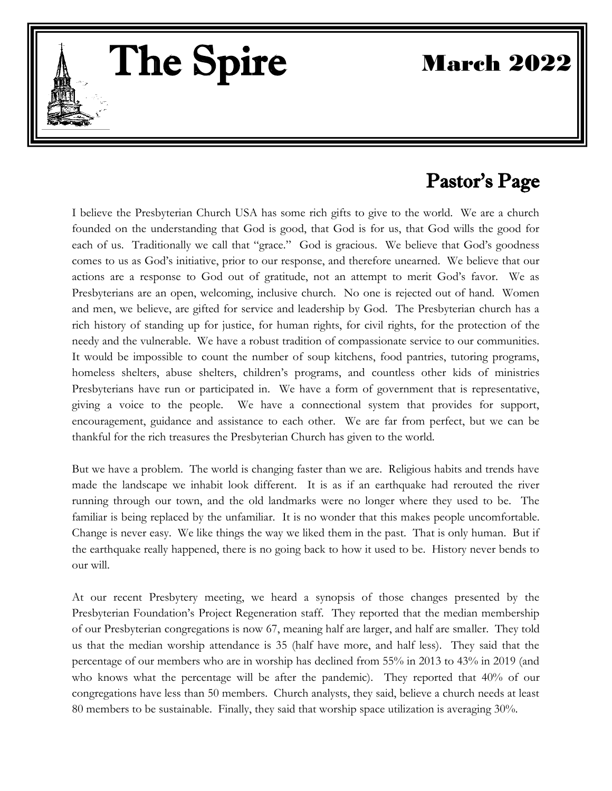March 2022

# Pastor's Page

I believe the Presbyterian Church USA has some rich gifts to give to the world. We are a church founded on the understanding that God is good, that God is for us, that God wills the good for each of us. Traditionally we call that "grace." God is gracious. We believe that God's goodness comes to us as God's initiative, prior to our response, and therefore unearned. We believe that our actions are a response to God out of gratitude, not an attempt to merit God's favor. We as Presbyterians are an open, welcoming, inclusive church. No one is rejected out of hand. Women and men, we believe, are gifted for service and leadership by God. The Presbyterian church has a rich history of standing up for justice, for human rights, for civil rights, for the protection of the needy and the vulnerable. We have a robust tradition of compassionate service to our communities. It would be impossible to count the number of soup kitchens, food pantries, tutoring programs, homeless shelters, abuse shelters, children's programs, and countless other kids of ministries Presbyterians have run or participated in. We have a form of government that is representative, giving a voice to the people. We have a connectional system that provides for support, encouragement, guidance and assistance to each other. We are far from perfect, but we can be thankful for the rich treasures the Presbyterian Church has given to the world.

 $\overline{a}$ 

The Spire

But we have a problem. The world is changing faster than we are. Religious habits and trends have made the landscape we inhabit look different. It is as if an earthquake had rerouted the river running through our town, and the old landmarks were no longer where they used to be. The familiar is being replaced by the unfamiliar. It is no wonder that this makes people uncomfortable. Change is never easy. We like things the way we liked them in the past. That is only human. But if the earthquake really happened, there is no going back to how it used to be. History never bends to our will.

At our recent Presbytery meeting, we heard a synopsis of those changes presented by the Presbyterian Foundation's Project Regeneration staff. They reported that the median membership of our Presbyterian congregations is now 67, meaning half are larger, and half are smaller. They told us that the median worship attendance is 35 (half have more, and half less). They said that the percentage of our members who are in worship has declined from 55% in 2013 to 43% in 2019 (and who knows what the percentage will be after the pandemic). They reported that 40% of our congregations have less than 50 members. Church analysts, they said, believe a church needs at least 80 members to be sustainable. Finally, they said that worship space utilization is averaging 30%.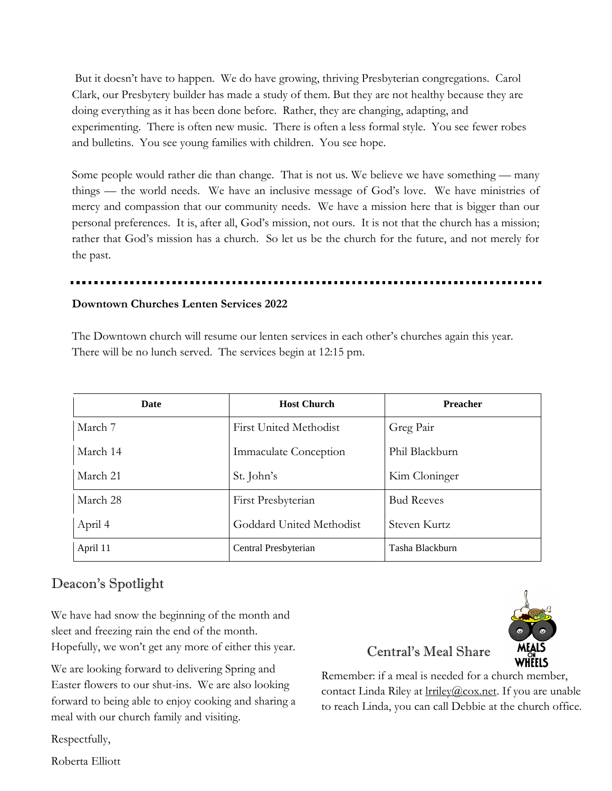But it doesn't have to happen. We do have growing, thriving Presbyterian congregations. Carol Clark, our Presbytery builder has made a study of them. But they are not healthy because they are doing everything as it has been done before. Rather, they are changing, adapting, and experimenting. There is often new music. There is often a less formal style. You see fewer robes and bulletins. You see young families with children. You see hope.

Some people would rather die than change. That is not us. We believe we have something — many things — the world needs. We have an inclusive message of God's love. We have ministries of mercy and compassion that our community needs. We have a mission here that is bigger than our personal preferences. It is, after all, God's mission, not ours. It is not that the church has a mission; rather that God's mission has a church. So let us be the church for the future, and not merely for the past.

#### **Downtown Churches Lenten Services 2022**

The Downtown church will resume our lenten services in each other's churches again this year. There will be no lunch served. The services begin at 12:15 pm.

| Date     | <b>Host Church</b>            | <b>Preacher</b>   |  |
|----------|-------------------------------|-------------------|--|
| March 7  | <b>First United Methodist</b> | Greg Pair         |  |
| March 14 | Immaculate Conception         | Phil Blackburn    |  |
| March 21 | St. John's                    | Kim Cloninger     |  |
| March 28 | First Presbyterian            | <b>Bud Reeves</b> |  |
| April 4  | Goddard United Methodist      | Steven Kurtz      |  |
| April 11 | Central Presbyterian          | Tasha Blackburn   |  |

# Deacon's Spotlight

We have had snow the beginning of the month and sleet and freezing rain the end of the month. Hopefully, we won't get any more of either this year.

We are looking forward to delivering Spring and Easter flowers to our shut-ins. We are also looking forward to being able to enjoy cooking and sharing a meal with our church family and visiting.



# Central's Meal Share

Remember: if a meal is needed for a church member, contact Linda Riley at lrriley@cox.net. If you are unable to reach Linda, you can call Debbie at the church office.

Respectfully,

Roberta Elliott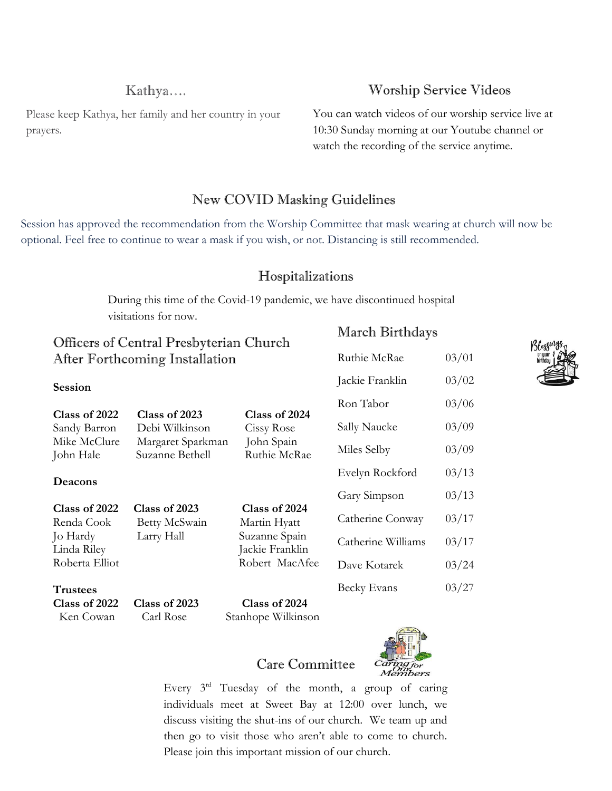# Kathya….

Î Please keep Kathya, her family and her country in your prayers.

# Worship Service Videos

You can watch videos of our worship service live at 10:30 Sunday morning at our Youtube channel or watch the recording of the service anytime.

# New COVID Masking Guidelines

Session has approved the recommendation from the Worship Committee that mask wearing at church will now be optional. Feel free to continue to wear a mask if you wish, or not. Distancing is still recommended.

# Hospitalizations

 $M = 1$  D<sup>o</sup>  $A$  1

During this time of the Covid-19 pandemic, we have discontinued hospital visitations for now. The programs at the Sweet House include means on Friday and Saturday and Saturday evenings, even include include include include  $\frac{1}{2}$ 

| Officers of Central Presbyterian Church<br>After Forthcoming Installation |                                      |                                     | March Birthdays  |       | Blessin |
|---------------------------------------------------------------------------|--------------------------------------|-------------------------------------|------------------|-------|---------|
|                                                                           |                                      |                                     | Ruthie McRae     | 03/01 |         |
| <b>Session</b>                                                            |                                      |                                     | Jackie Franklin  | 03/02 |         |
| Class of 2022                                                             | Class of 2023                        | Class of 2024                       | Ron Tabor        | 03/06 |         |
| Sandy Barron                                                              | Debi Wilkinson                       | Cissy Rose                          | Sally Naucke     | 03/09 |         |
| Mike McClure<br>John Hale                                                 | Margaret Sparkman<br>Suzanne Bethell | John Spain<br>Ruthie McRae          | Miles Selby      | 03/09 |         |
| Deacons                                                                   |                                      |                                     | Evelyn Rockford  | 03/13 |         |
|                                                                           |                                      |                                     | Gary Simpson     | 03/13 |         |
| Class of 2022<br>Renda Cook                                               | Class of 2023<br>Betty McSwain       | Class of 2024<br>Martin Hyatt       | Catherine Conway | 03/17 |         |
| Jo Hardy<br>Larry Hall<br>Linda Riley<br>Roberta Elliot                   | Suzanne Spain<br>Jackie Franklin     | Catherine Williams                  | 03/17            |       |         |
|                                                                           |                                      | Robert MacAfee                      | Dave Kotarek     | 03/24 |         |
| <b>Trustees</b>                                                           |                                      |                                     | Becky Evans      | 03/27 |         |
| Class of 2022<br>Ken Cowan                                                | Class of 2023<br>Carl Rose           | Class of 2024<br>Stanhope Wilkinson |                  |       |         |





Every  $3^{rd}$  Tuesday of the month, a group of caring individuals meet at Sweet Bay at 12:00 over lunch, we discuss visiting the shut-ins of our church. We team up and then go to visit those who aren't able to come to church. Please join this important mission of our church.

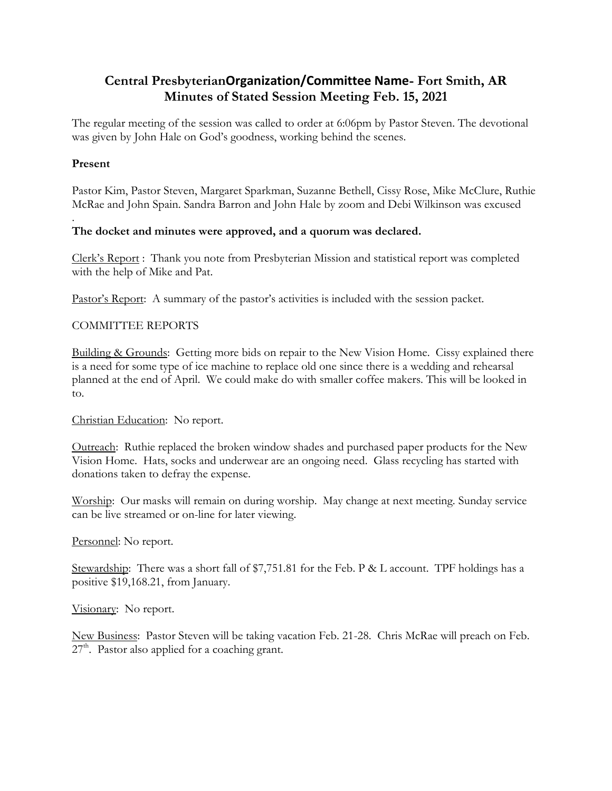# **Central PresbyterianOrganization/Committee Name- Fort Smith, AR Minutes of Stated Session Meeting Feb. 15, 2021**

The regular meeting of the session was called to order at 6:06pm by Pastor Steven. The devotional was given by John Hale on God's goodness, working behind the scenes.

### **Present**

.

Pastor Kim, Pastor Steven, Margaret Sparkman, Suzanne Bethell, Cissy Rose, Mike McClure, Ruthie McRae and John Spain. Sandra Barron and John Hale by zoom and Debi Wilkinson was excused

#### **The docket and minutes were approved, and a quorum was declared.**

Clerk's Report : Thank you note from Presbyterian Mission and statistical report was completed with the help of Mike and Pat.

Pastor's Report: A summary of the pastor's activities is included with the session packet.

#### COMMITTEE REPORTS

Building & Grounds: Getting more bids on repair to the New Vision Home. Cissy explained there is a need for some type of ice machine to replace old one since there is a wedding and rehearsal planned at the end of April. We could make do with smaller coffee makers. This will be looked in to.

#### Christian Education: No report.

Outreach: Ruthie replaced the broken window shades and purchased paper products for the New Vision Home. Hats, socks and underwear are an ongoing need. Glass recycling has started with donations taken to defray the expense.

Worship: Our masks will remain on during worship. May change at next meeting. Sunday service can be live streamed or on-line for later viewing.

#### Personnel: No report.

Stewardship: There was a short fall of \$7,751.81 for the Feb. P & L account. TPF holdings has a positive \$19,168.21, from January.

Visionary: No report.

New Business: Pastor Steven will be taking vacation Feb. 21-28. Chris McRae will preach on Feb.  $27<sup>th</sup>$ . Pastor also applied for a coaching grant.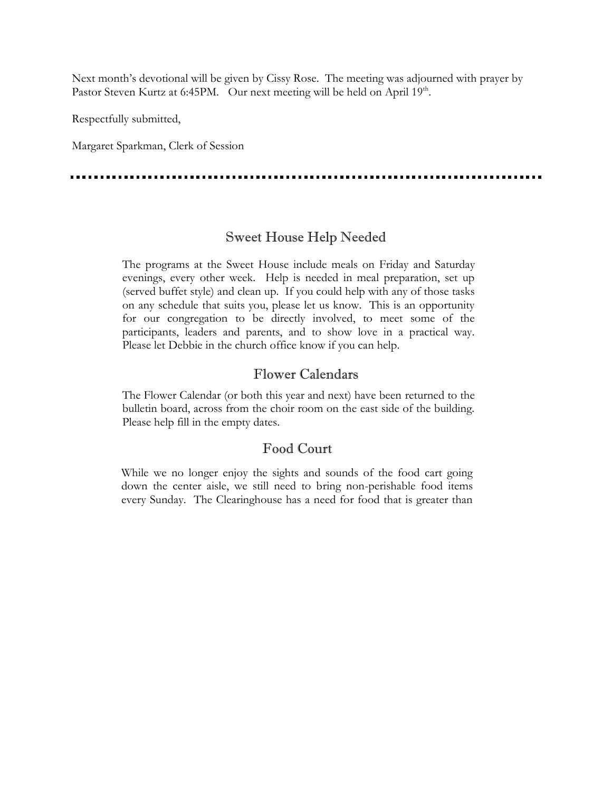Next month's devotional will be given by Cissy Rose. The meeting was adjourned with prayer by Pastor Steven Kurtz at 6:45PM. Our next meeting will be held on April 19<sup>th</sup>.

Respectfully submitted,

Margaret Sparkman, Clerk of Session

. . . . . . . . . .

# Sweet House Help Needed

The programs at the Sweet House include meals on Friday and Saturday evenings, every other week. Help is needed in meal preparation, set up (served buffet style) and clean up. If you could help with any of those tasks on any schedule that suits you, please let us know. This is an opportunity for our congregation to be directly involved, to meet some of the participants, leaders and parents, and to show love in a practical way. Please let Debbie in the church office know if you can help.

# Flower Calendars

The Flower Calendar (or both this year and next) have been returned to the bulletin board, across from the choir room on the east side of the building. Please help fill in the empty dates.

# Food Court

While we no longer enjoy the sights and sounds of the food cart going down the center aisle, we still need to bring non-perishable food items every Sunday. The Clearinghouse has a need for food that is greater than